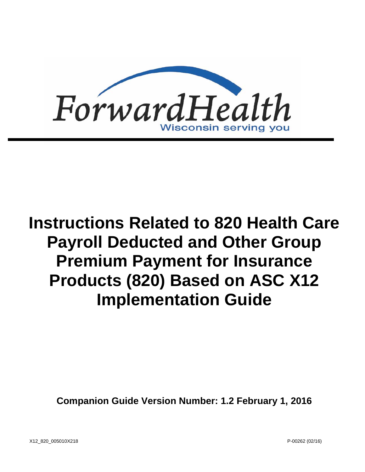

# **Instructions Related to 820 Health Care Payroll Deducted and Other Group Premium Payment for Insurance Products (820) Based on ASC X12 Implementation Guide**

**Companion Guide Version Number: 1.2 February 1, 2016**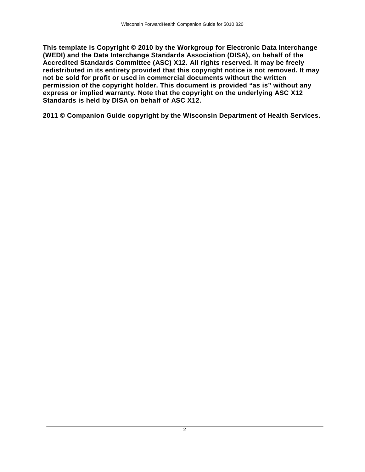**This template is Copyright © 2010 by the Workgroup for Electronic Data Interchange (WEDI) and the Data Interchange Standards Association (DISA), on behalf of the Accredited Standards Committee (ASC) X12. All rights reserved. It may be freely redistributed in its entirety provided that this copyright notice is not removed. It may not be sold for profit or used in commercial documents without the written permission of the copyright holder. This document is provided "as is" without any express or implied warranty. Note that the copyright on the underlying ASC X12 Standards is held by DISA on behalf of ASC X12.**

**2011 © Companion Guide copyright by the Wisconsin Department of Health Services.**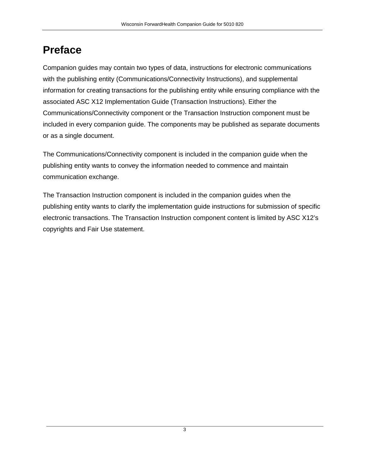# **Preface**

Companion guides may contain two types of data, instructions for electronic communications with the publishing entity (Communications/Connectivity Instructions), and supplemental information for creating transactions for the publishing entity while ensuring compliance with the associated ASC X12 Implementation Guide (Transaction Instructions). Either the Communications/Connectivity component or the Transaction Instruction component must be included in every companion guide. The components may be published as separate documents or as a single document.

The Communications/Connectivity component is included in the companion guide when the publishing entity wants to convey the information needed to commence and maintain communication exchange.

The Transaction Instruction component is included in the companion guides when the publishing entity wants to clarify the implementation guide instructions for submission of specific electronic transactions. The Transaction Instruction component content is limited by ASC X12's copyrights and Fair Use statement.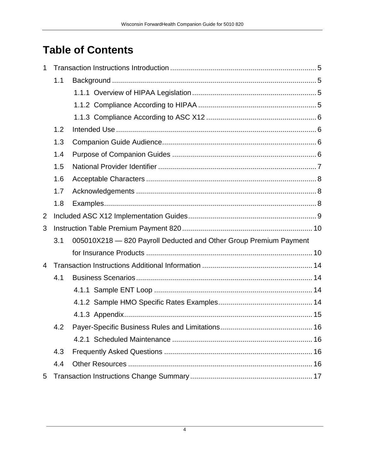# **Table of Contents**

| 1              |     |                                                                   |  |  |  |  |  |  |
|----------------|-----|-------------------------------------------------------------------|--|--|--|--|--|--|
|                | 1.1 |                                                                   |  |  |  |  |  |  |
|                |     |                                                                   |  |  |  |  |  |  |
|                |     |                                                                   |  |  |  |  |  |  |
|                |     |                                                                   |  |  |  |  |  |  |
|                | 1.2 |                                                                   |  |  |  |  |  |  |
|                | 1.3 |                                                                   |  |  |  |  |  |  |
|                | 1.4 |                                                                   |  |  |  |  |  |  |
|                | 1.5 |                                                                   |  |  |  |  |  |  |
|                | 1.6 |                                                                   |  |  |  |  |  |  |
|                | 1.7 |                                                                   |  |  |  |  |  |  |
| 1.8            |     |                                                                   |  |  |  |  |  |  |
| $\overline{2}$ |     |                                                                   |  |  |  |  |  |  |
| 3              |     |                                                                   |  |  |  |  |  |  |
|                | 3.1 | 005010X218 - 820 Payroll Deducted and Other Group Premium Payment |  |  |  |  |  |  |
|                |     |                                                                   |  |  |  |  |  |  |
| 4              |     |                                                                   |  |  |  |  |  |  |
|                | 4.1 |                                                                   |  |  |  |  |  |  |
|                |     |                                                                   |  |  |  |  |  |  |
|                |     |                                                                   |  |  |  |  |  |  |
|                |     |                                                                   |  |  |  |  |  |  |
|                | 4.2 |                                                                   |  |  |  |  |  |  |
|                |     |                                                                   |  |  |  |  |  |  |
|                | 4.3 |                                                                   |  |  |  |  |  |  |
|                | 4.4 |                                                                   |  |  |  |  |  |  |
| 5              |     |                                                                   |  |  |  |  |  |  |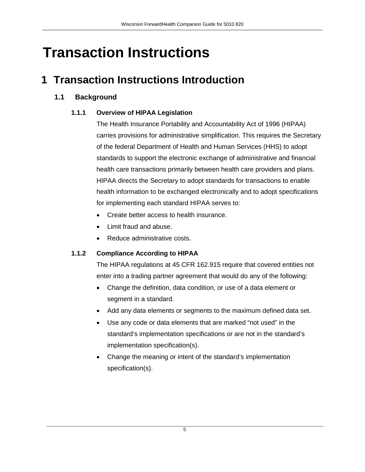# **Transaction Instructions**

# <span id="page-4-1"></span><span id="page-4-0"></span>**1 Transaction Instructions Introduction**

# <span id="page-4-2"></span>**1.1 Background**

# **1.1.1 Overview of HIPAA Legislation**

The Health Insurance Portability and Accountability Act of 1996 (HIPAA) carries provisions for administrative simplification. This requires the Secretary of the federal Department of Health and Human Services (HHS) to adopt standards to support the electronic exchange of administrative and financial health care transactions primarily between health care providers and plans. HIPAA directs the Secretary to adopt standards for transactions to enable health information to be exchanged electronically and to adopt specifications for implementing each standard HIPAA serves to:

- Create better access to health insurance.
- Limit fraud and abuse.
- Reduce administrative costs.

# <span id="page-4-3"></span>**1.1.2 Compliance According to HIPAA**

The HIPAA regulations at 45 CFR 162.915 require that covered entities not enter into a trading partner agreement that would do any of the following:

- Change the definition, data condition, or use of a data element or segment in a standard.
- Add any data elements or segments to the maximum defined data set.
- Use any code or data elements that are marked "not used" in the standard's implementation specifications or are not in the standard's implementation specification(s).
- Change the meaning or intent of the standard's implementation specification(s).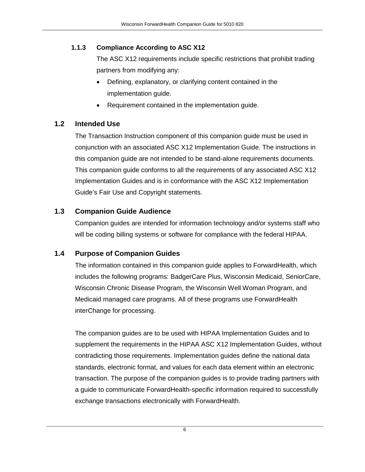# <span id="page-5-0"></span>**1.1.3 Compliance According to ASC X12**

The ASC X12 requirements include specific restrictions that prohibit trading partners from modifying any:

- Defining, explanatory, or clarifying content contained in the implementation guide.
- Requirement contained in the implementation guide.

# <span id="page-5-1"></span>**1.2 Intended Use**

The Transaction Instruction component of this companion guide must be used in conjunction with an associated ASC X12 Implementation Guide. The instructions in this companion guide are not intended to be stand-alone requirements documents. This companion guide conforms to all the requirements of any associated ASC X12 Implementation Guides and is in conformance with the ASC X12 Implementation Guide's Fair Use and Copyright statements.

# <span id="page-5-2"></span>**1.3 Companion Guide Audience**

Companion guides are intended for information technology and/or systems staff who will be coding billing systems or software for compliance with the federal HIPAA.

# <span id="page-5-3"></span>**1.4 Purpose of Companion Guides**

The information contained in this companion guide applies to ForwardHealth, which includes the following programs: BadgerCare Plus, Wisconsin Medicaid, SeniorCare, Wisconsin Chronic Disease Program, the Wisconsin Well Woman Program, and Medicaid managed care programs. All of these programs use ForwardHealth interChange for processing.

The companion guides are to be used with HIPAA Implementation Guides and to supplement the requirements in the HIPAA ASC X12 Implementation Guides, without contradicting those requirements. Implementation guides define the national data standards, electronic format, and values for each data element within an electronic transaction. The purpose of the companion guides is to provide trading partners with a guide to communicate ForwardHealth-specific information required to successfully exchange transactions electronically with ForwardHealth.

6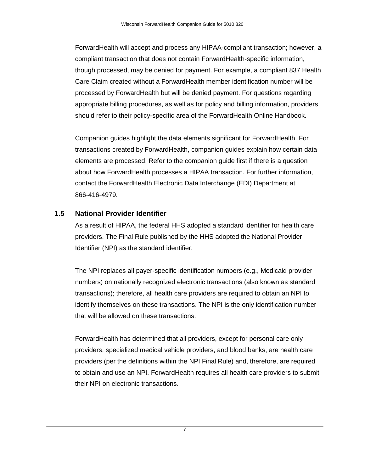ForwardHealth will accept and process any HIPAA-compliant transaction; however, a compliant transaction that does not contain ForwardHealth-specific information, though processed, may be denied for payment. For example, a compliant 837 Health Care Claim created without a ForwardHealth member identification number will be processed by ForwardHealth but will be denied payment. For questions regarding appropriate billing procedures, as well as for policy and billing information, providers should refer to their policy-specific area of the ForwardHealth Online Handbook.

Companion guides highlight the data elements significant for ForwardHealth. For transactions created by ForwardHealth, companion guides explain how certain data elements are processed. Refer to the companion guide first if there is a question about how ForwardHealth processes a HIPAA transaction. For further information, contact the ForwardHealth Electronic Data Interchange (EDI) Department at 866-416-4979.

# <span id="page-6-0"></span>**1.5 National Provider Identifier**

As a result of HIPAA, the federal HHS adopted a standard identifier for health care providers. The Final Rule published by the HHS adopted the National Provider Identifier (NPI) as the standard identifier.

The NPI replaces all payer-specific identification numbers (e.g., Medicaid provider numbers) on nationally recognized electronic transactions (also known as standard transactions); therefore, all health care providers are required to obtain an NPI to identify themselves on these transactions. The NPI is the only identification number that will be allowed on these transactions.

ForwardHealth has determined that all providers, except for personal care only providers, specialized medical vehicle providers, and blood banks, are health care providers (per the definitions within the NPI Final Rule) and, therefore, are required to obtain and use an NPI. ForwardHealth requires all health care providers to submit their NPI on electronic transactions.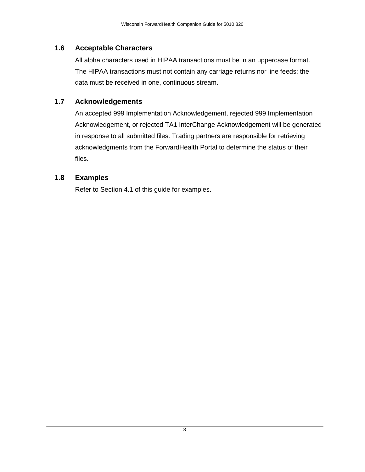# <span id="page-7-0"></span>**1.6 Acceptable Characters**

All alpha characters used in HIPAA transactions must be in an uppercase format. The HIPAA transactions must not contain any carriage returns nor line feeds; the data must be received in one, continuous stream.

# <span id="page-7-1"></span>**1.7 Acknowledgements**

An accepted 999 Implementation Acknowledgement, rejected 999 Implementation Acknowledgement, or rejected TA1 InterChange Acknowledgement will be generated in response to all submitted files. Trading partners are responsible for retrieving acknowledgments from the ForwardHealth Portal to determine the status of their files.

# <span id="page-7-2"></span>**1.8 Examples**

Refer to Section 4.1 of this guide for examples.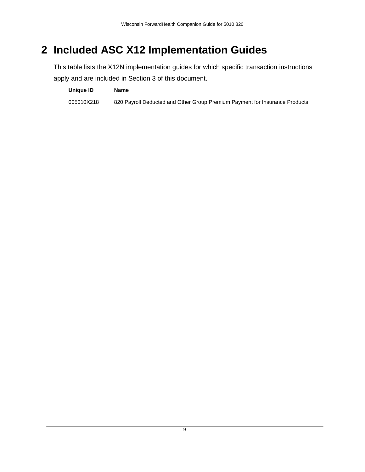# <span id="page-8-0"></span>**2 Included ASC X12 Implementation Guides**

This table lists the X12N implementation guides for which specific transaction instructions apply and are included in Section 3 of this document.

**Unique ID Name** 005010X218 820 Payroll Deducted and Other Group Premium Payment for Insurance Products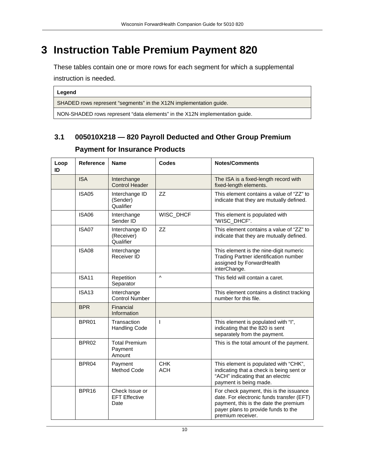# <span id="page-9-0"></span>**3 Instruction Table Premium Payment 820**

These tables contain one or more rows for each segment for which a supplemental instruction is needed.

**Legend**

SHADED rows represent "segments" in the X12N implementation guide.

NON-SHADED rows represent "data elements" in the X12N implementation guide.

# <span id="page-9-1"></span>**3.1 005010X218 — 820 Payroll Deducted and Other Group Premium**

#### **Loop ID Reference Name Codes Notes/Comments** ISA Interchange Control Header The ISA is a fixed-length record with fixed-length elements. ISA05 Interchange ID (Sender) Qualifier ZZ This element contains a value of "ZZ" to indicate that they are mutually defined. ISA06 Interchange Sender ID WISC\_DHCF | This element is populated with "WISC\_DHCF". ISA07 | Interchange ID (Receiver) **Qualifier** ZZ This element contains a value of "ZZ" to indicate that they are mutually defined. ISA08 Interchange Receiver ID This element is the nine-digit numeric Trading Partner identification number assigned by ForwardHealth interChange. ISA11 Repetition Separator ^ This field will contain a caret. ISA13 Interchange Control Number This element contains a distinct tracking number for this file. BPR Financial Information BPR01 Transaction Handling Code I This element is populated with "I", indicating that the 820 is sent separately from the payment. BPR02 Total Premium Payment Amount This is the total amount of the payment. BPR04 Payment Method Code CHK **ACH** This element is populated with "CHK", indicating that a check is being sent or "ACH" indicating that an electric payment is being made. BPR16 Check Issue or EFT Effective Date For check payment, this is the issuance date. For electronic funds transfer (EFT) payment, this is the date the premium payer plans to provide funds to the premium receiver.

# **Payment for Insurance Products**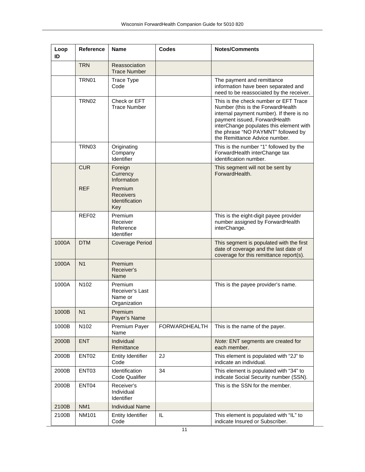| Loop<br>ID | Reference              | <b>Name</b>                                           | <b>Codes</b>  | <b>Notes/Comments</b>                                                                                                                                                                                                                                                     |
|------------|------------------------|-------------------------------------------------------|---------------|---------------------------------------------------------------------------------------------------------------------------------------------------------------------------------------------------------------------------------------------------------------------------|
|            | <b>TRN</b>             | Reassociation<br><b>Trace Number</b>                  |               |                                                                                                                                                                                                                                                                           |
|            | TRN01                  | <b>Trace Type</b><br>Code                             |               | The payment and remittance<br>information have been separated and<br>need to be reassociated by the receiver.                                                                                                                                                             |
|            | <b>TRN02</b>           | Check or EFT<br><b>Trace Number</b>                   |               | This is the check number or EFT Trace<br>Number (this is the ForwardHealth<br>internal payment number). If there is no<br>payment issued, ForwardHealth<br>interChange populates this element with<br>the phrase "NO PAYMNT" followed by<br>the Remittance Advice number. |
|            | TRN03                  | Originating<br>Company<br>Identifier                  |               | This is the number "1" followed by the<br>ForwardHealth interChange tax<br>identification number.                                                                                                                                                                         |
|            | <b>CUR</b>             | Foreign<br>Currency<br>Information                    |               | This segment will not be sent by<br>ForwardHealth.                                                                                                                                                                                                                        |
|            | <b>REF</b>             | Premium<br><b>Receivers</b><br>Identification<br>Key  |               |                                                                                                                                                                                                                                                                           |
|            | REF02                  | Premium<br>Receiver<br>Reference<br>Identifier        |               | This is the eight-digit payee provider<br>number assigned by ForwardHealth<br>interChange.                                                                                                                                                                                |
| 1000A      | <b>DTM</b>             | <b>Coverage Period</b>                                |               | This segment is populated with the first<br>date of coverage and the last date of<br>coverage for this remittance report(s).                                                                                                                                              |
| 1000A      | N <sub>1</sub>         | Premium<br>Receiver's<br>Name                         |               |                                                                                                                                                                                                                                                                           |
| 1000A      | N <sub>102</sub>       | Premium<br>Receiver's Last<br>Name or<br>Organization |               | This is the payee provider's name.                                                                                                                                                                                                                                        |
| 1000B      | $\vert$ N <sub>1</sub> | Premium<br>Payer's Name                               |               |                                                                                                                                                                                                                                                                           |
| 1000B      | N102                   | Premium Payer<br>Name                                 | FORWARDHEALTH | This is the name of the payer.                                                                                                                                                                                                                                            |
| 2000B      | <b>ENT</b>             | Individual<br>Remittance                              |               | Note: ENT segments are created for<br>each member.                                                                                                                                                                                                                        |
| 2000B      | ENT <sub>02</sub>      | <b>Entity Identifier</b><br>Code                      | 2J            | This element is populated with "2J" to<br>indicate an individual.                                                                                                                                                                                                         |
| 2000B      | ENT03                  | Identification<br>Code Qualifier                      | 34            | This element is populated with "34" to<br>indicate Social Security number (SSN).                                                                                                                                                                                          |
| 2000B      | ENT04                  | Receiver's<br>Individual<br>Identifier                |               | This is the SSN for the member.                                                                                                                                                                                                                                           |
| 2100B      | NM <sub>1</sub>        | <b>Individual Name</b>                                |               |                                                                                                                                                                                                                                                                           |
| 2100B      | <b>NM101</b>           | Entity Identifier<br>Code                             | IL            | This element is populated with "IL" to<br>indicate Insured or Subscriber.                                                                                                                                                                                                 |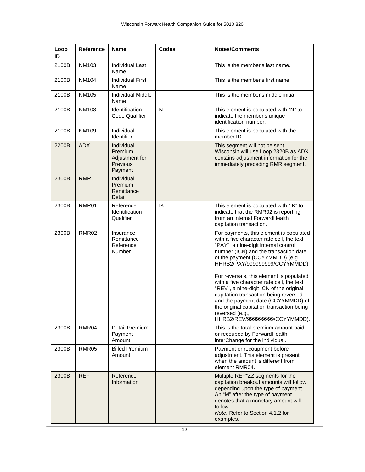| Loop<br>ID | Reference         | Name                                                           | <b>Codes</b> | <b>Notes/Comments</b>                                                                                                                                                                                                                                                                                                                                                                                                                                                                                                                                            |
|------------|-------------------|----------------------------------------------------------------|--------------|------------------------------------------------------------------------------------------------------------------------------------------------------------------------------------------------------------------------------------------------------------------------------------------------------------------------------------------------------------------------------------------------------------------------------------------------------------------------------------------------------------------------------------------------------------------|
| 2100B      | NM103             | Individual Last<br>Name                                        |              | This is the member's last name.                                                                                                                                                                                                                                                                                                                                                                                                                                                                                                                                  |
| 2100B      | NM104             | Individual First<br>Name                                       |              | This is the member's first name.                                                                                                                                                                                                                                                                                                                                                                                                                                                                                                                                 |
| 2100B      | NM105             | <b>Individual Middle</b><br>Name                               |              | This is the member's middle initial.                                                                                                                                                                                                                                                                                                                                                                                                                                                                                                                             |
| 2100B      | <b>NM108</b>      | Identification<br>Code Qualifier                               | N            | This element is populated with "N" to<br>indicate the member's unique<br>identification number.                                                                                                                                                                                                                                                                                                                                                                                                                                                                  |
| 2100B      | <b>NM109</b>      | Individual<br>Identifier                                       |              | This element is populated with the<br>member ID.                                                                                                                                                                                                                                                                                                                                                                                                                                                                                                                 |
| 2200B      | <b>ADX</b>        | Individual<br>Premium<br>Adjustment for<br>Previous<br>Payment |              | This segment will not be sent.<br>Wisconsin will use Loop 2320B as ADX<br>contains adjustment information for the<br>immediately preceding RMR segment.                                                                                                                                                                                                                                                                                                                                                                                                          |
| 2300B      | <b>RMR</b>        | Individual<br>Premium<br>Remittance<br>Detail                  |              |                                                                                                                                                                                                                                                                                                                                                                                                                                                                                                                                                                  |
| 2300B      | RMR01             | Reference<br>Identification<br>Qualifier                       | IK           | This element is populated with "IK" to<br>indicate that the RMR02 is reporting<br>from an internal ForwardHealth<br>capitation transaction.                                                                                                                                                                                                                                                                                                                                                                                                                      |
| 2300B      | RMR <sub>02</sub> | Insurance<br>Remittance<br>Reference<br>Number                 |              | For payments, this element is populated<br>with a five character rate cell, the text<br>"PAY", a nine-digit internal control<br>number (ICN) and the transaction date<br>of the payment (CCYYMMDD) (e.g.,<br>HHRB2/PAY/999999999/CCYYMMDD).<br>For reversals, this element is populated<br>with a five character rate cell, the text<br>"REV", a nine-digit ICN of the original<br>capitation transaction being reversed<br>and the payment date (CCYYMMDD) of<br>the original capitation transaction being<br>reversed (e.g.,<br>HHRB2/REV/999999999/CCYYMMDD). |
| 2300B      | RMR04             | Detail Premium<br>Payment<br>Amount                            |              | This is the total premium amount paid<br>or recouped by ForwardHealth<br>interChange for the individual.                                                                                                                                                                                                                                                                                                                                                                                                                                                         |
| 2300B      | RMR05             | <b>Billed Premium</b><br>Amount                                |              | Payment or recoupment before<br>adjustment. This element is present<br>when the amount is different from<br>element RMR04.                                                                                                                                                                                                                                                                                                                                                                                                                                       |
| 2300B      | <b>REF</b>        | Reference<br>Information                                       |              | Multiple REF*ZZ segments for the<br>capitation breakout amounts will follow<br>depending upon the type of payment.<br>An "M" after the type of payment<br>denotes that a monetary amount will<br>follow.<br>Note: Refer to Section 4.1.2 for<br>examples.                                                                                                                                                                                                                                                                                                        |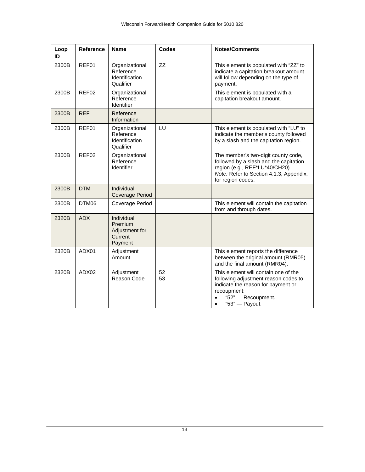| Loop<br>ID | Reference  | <b>Name</b>                                                   | <b>Codes</b> | <b>Notes/Comments</b>                                                                                                                                                                  |
|------------|------------|---------------------------------------------------------------|--------------|----------------------------------------------------------------------------------------------------------------------------------------------------------------------------------------|
| 2300B      | REF01      | Organizational<br>Reference<br>Identification<br>Qualifier    | <b>ZZ</b>    | This element is populated with "ZZ" to<br>indicate a capitation breakout amount<br>will follow depending on the type of<br>payment.                                                    |
| 2300B      | REF02      | Organizational<br>Reference<br>Identifier                     |              | This element is populated with a<br>capitation breakout amount.                                                                                                                        |
| 2300B      | <b>REF</b> | Reference<br>Information                                      |              |                                                                                                                                                                                        |
| 2300B      | REF01      | Organizational<br>Reference<br>Identification<br>Qualifier    | LU           | This element is populated with "LU" to<br>indicate the member's county followed<br>by a slash and the capitation region.                                                               |
| 2300B      | REF02      | Organizational<br>Reference<br>Identifier                     |              | The member's two-digit county code,<br>followed by a slash and the capitation<br>region (e.g., REF*LU*40/CH20).<br>Note: Refer to Section 4.1.3, Appendix,<br>for region codes.        |
| 2300B      | <b>DTM</b> | Individual<br><b>Coverage Period</b>                          |              |                                                                                                                                                                                        |
| 2300B      | DTM06      | Coverage Period                                               |              | This element will contain the capitation<br>from and through dates.                                                                                                                    |
| 2320B      | <b>ADX</b> | Individual<br>Premium<br>Adjustment for<br>Current<br>Payment |              |                                                                                                                                                                                        |
| 2320B      | ADX01      | Adjustment<br>Amount                                          |              | This element reports the difference<br>between the original amount (RMR05)<br>and the final amount (RMR04).                                                                            |
| 2320B      | ADX02      | Adjustment<br>Reason Code                                     | 52<br>53     | This element will contain one of the<br>following adjustment reason codes to<br>indicate the reason for payment or<br>recoupment:<br>"52" - Recoupment.<br>"53" - Payout.<br>$\bullet$ |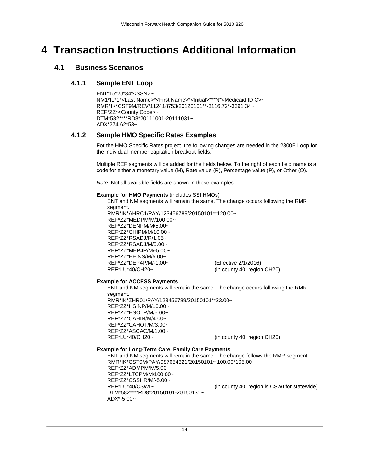# <span id="page-13-1"></span><span id="page-13-0"></span>**4 Transaction Instructions Additional Information**

# <span id="page-13-2"></span>**4.1 Business Scenarios**

### **4.1.1 Sample ENT Loop**

ENT\*15\*2J\*34\*<SSN>~ NM1\*IL\*1\*<Last Name>\*<First Name>\*<Initial>\*\*\*N\*<Medicaid ID C>~ RMR\*IK\*CST9M/REV/112418753/20120101\*\*-3116.72\*-3391.34~ REF\*ZZ\*<County Code>~ DTM\*582\*\*\*\*RD8\*20111001-20111031~ ADX\*274.62\*53~

### <span id="page-13-3"></span>**4.1.2 Sample HMO Specific Rates Examples**

For the HMO Specific Rates project, the following changes are needed in the 2300B Loop for the individual member capitation breakout fields.

Multiple REF segments will be added for the fields below. To the right of each field name is a code for either a monetary value (M), Rate value (R), Percentage value (P), or Other (O).

*Note:* Not all available fields are shown in these examples.

#### **Example for HMO Payments** (includes SSI HMOs)

ENT and NM segments will remain the same. The change occurs following the RMR segment. RMR\*IK\*AHRC1/PAY/123456789/20150101\*\*120.00~ REF\*ZZ\*MEDPM/M/100.00~ REF\*ZZ\*DENPM/M/5.00~ REF\*ZZ\*CHIPM/M/10.00~ REF\*ZZ\*RSADJ/R/1.05~ REF\*ZZ\*RSADJ/M/5.00~ REF\*ZZ\*MEP4P/M/-5.00~ REF\*ZZ\*HEINS/M/5.00~ REF\*ZZ\*DEP4P/M/-1.00~ (Effective 2/1/2016) REF\*LU\*40/CH20~ (in county 40, region CH20)

#### **Example for ACCESS Payments**

ENT and NM segments will remain the same. The change occurs following the RMR segment. RMR\*IK\*ZHR01/PAY/123456789/20150101\*\*23.00~ REF\*ZZ\*HSINP/M/10.00~ REF\*ZZ\*HSOTP/M/5.00~ REF\*ZZ\*CAHIN/M/4.00~ REF\*ZZ\*CAHOT/M/3.00~ REF\*ZZ\*ASCAC/M/1.00~<br>REF\*LU\*40/CH20~ (in county 40, region CH20)

### **Example for Long-Term Care, Family Care Payments**

ENT and NM segments will remain the same. The change follows the RMR segment. RMR\*IK\*CST9M/PAY/987654321/20150101\*\*100.00\*105.00~ REF\*ZZ\*ADMPM/M/5.00~ REF\*ZZ\*LTCPM/M/100.00~ REF\*ZZ\*CSSHR/M/-5.00~ REF\*LU\*40/CSWI~ (in county 40, region is CSWI for statewide) DTM\*582\*\*\*\*RD8\*20150101-20150131~ ADX\*-5.00~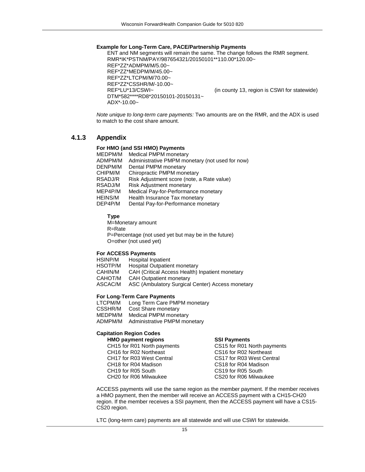#### **Example for Long-Term Care, PACE/Partnership Payments**

ENT and NM segments will remain the same. The change follows the RMR segment. RMR\*IK\*PSTNM/PAY/987654321/20150101\*\*110.00\*120.00~ REF\*ZZ\*ADMPM/M/5.00~ REF\*ZZ\*MEDPM/M/45.00~ REF\*ZZ\*LTCPM/M/70.00~ REF\*ZZ\*CSSHR/M/-10.00~<br>REF\*LU\*13/CSWI~ (in county 13, region is CSWI for statewide) DTM\*582\*\*\*\*RD8\*20150101-20150131~ ADX\*-10.00~

*Note unique to long-term care payments:* Two amounts are on the RMR, and the ADX is used to match to the cost share amount.

### <span id="page-14-0"></span>**4.1.3 Appendix**

### **For HMO (and SSI HMO) Payments**

| MEDPM/M | <b>Medical PMPM monetary</b>                    |
|---------|-------------------------------------------------|
| ADMPM/M | Administrative PMPM monetary (not used for now) |
| DENPM/M | Dental PMPM monetary                            |
| CHIPM/M | Chiropractic PMPM monetary                      |
| RSADJ/R | Risk Adjustment score (note, a Rate value)      |
| RSADJ/M | Risk Adjustment monetary                        |
| MEP4P/M | Medical Pay-for-Performance monetary            |
| HEINS/M | Health Insurance Tax monetary                   |
| DEP4P/M | Dental Pay-for-Performance monetary             |
|         |                                                 |

**Type**

M=Monetary amount R=Rate P=Percentage (not used yet but may be in the future) O=other (not used yet)

#### **For ACCESS Payments**

| <b>Hospital Inpatient</b>                        |
|--------------------------------------------------|
| <b>Hospital Outpatient monetary</b>              |
| CAH (Critical Access Health) Inpatient monetary  |
| <b>CAH Outpatient monetary</b>                   |
| ASC (Ambulatory Surgical Center) Access monetary |
|                                                  |

#### **For Long-Term Care Payments**

LTCPM/M Long Term Care PMPM monetary<br>CSSHR/M Cost Share monetary Cost Share monetary MEDPM/M Medical PMPM monetary ADMPM/M Administrative PMPM monetary

#### **Capitation Region Codes**

| <b>HMO payment regions</b>                        | <b>SSI Payments</b>         |
|---------------------------------------------------|-----------------------------|
| CH15 for R01 North payments                       | CS15 for R01 North payments |
| CH <sub>16</sub> for R <sub>02</sub> Northeast    | CS16 for R02 Northeast      |
| CH <sub>17</sub> for R <sub>03</sub> West Central | CS17 for R03 West Central   |
| CH <sub>18</sub> for R <sub>04</sub> Madison      | CS18 for R04 Madison        |
| CH <sub>19</sub> for R <sub>05</sub> South        | CS19 for R05 South          |
| CH <sub>20</sub> for R <sub>06</sub> Milwaukee    | CS20 for R06 Milwaukee      |

ACCESS payments will use the same region as the member payment. If the member receives a HMO payment, then the member will receive an ACCESS payment with a CH15-CH20 region. If the member receives a SSI payment, then the ACCESS payment will have a CS15- CS20 region.

LTC (long-term care) payments are all statewide and will use CSWI for statewide.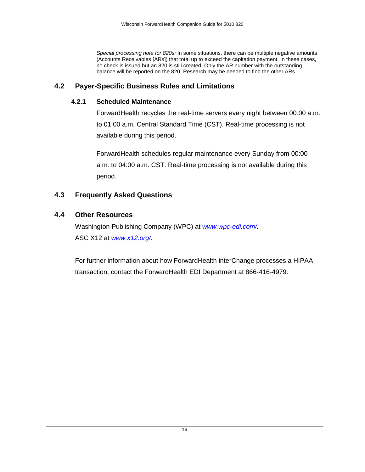*Special processing note for 820s:* In some situations, there can be multiple negative amounts (Accounts Receivables [ARs]) that total up to exceed the capitation payment. In these cases, no check is issued but an 820 is still created. Only the AR number with the outstanding balance will be reported on the 820. Research may be needed to find the other ARs.

### <span id="page-15-1"></span><span id="page-15-0"></span>**4.2 Payer-Specific Business Rules and Limitations**

### **4.2.1 Scheduled Maintenance**

ForwardHealth recycles the real-time servers every night between 00:00 a.m. to 01:00 a.m. Central Standard Time (CST). Real-time processing is not available during this period.

ForwardHealth schedules regular maintenance every Sunday from 00:00 a.m. to 04:00 a.m. CST. Real-time processing is not available during this period.

### <span id="page-15-2"></span>**4.3 Frequently Asked Questions**

### <span id="page-15-3"></span>**4.4 Other Resources**

Washington Publishing Company (WPC) at *[www.wpc-edi.com/.](http://www.wpc-edi.com/)* ASC X12 at *[www.x12.org/.](http://www.x12.org/)*

For further information about how ForwardHealth interChange processes a HIPAA transaction, contact the ForwardHealth EDI Department at 866-416-4979.